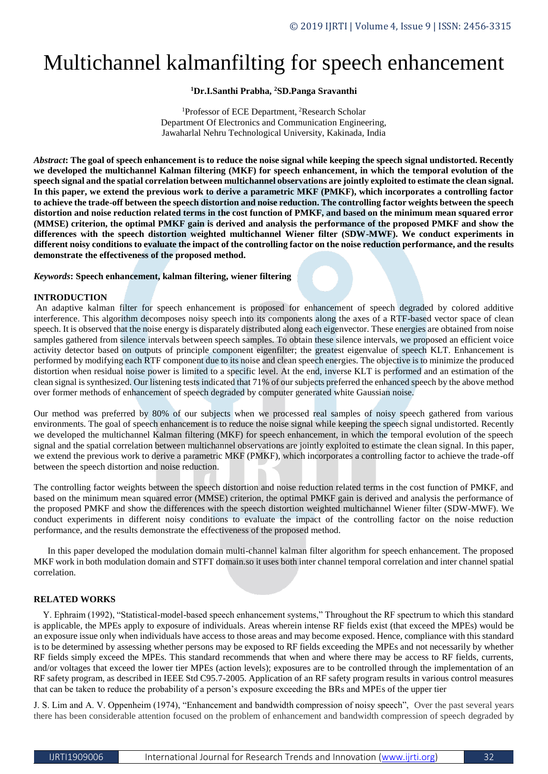# Multichannel kalmanfilting for speech enhancement

# **<sup>1</sup>Dr.I.Santhi Prabha, <sup>2</sup>SD.Panga Sravanthi**

<sup>1</sup>Professor of ECE Department, <sup>2</sup>Research Scholar Department Of Electronics and Communication Engineering, Jawaharlal Nehru Technological University, Kakinada, India

*Abstract***: The goal of speech enhancement is to reduce the noise signal while keeping the speech signal undistorted. Recently we developed the multichannel Kalman filtering (MKF) for speech enhancement, in which the temporal evolution of the speech signal and the spatial correlation between multichannel observations are jointly exploited to estimate the clean signal. In this paper, we extend the previous work to derive a parametric MKF (PMKF), which incorporates a controlling factor to achieve the trade-off between the speech distortion and noise reduction. The controlling factor weights between the speech distortion and noise reduction related terms in the cost function of PMKF, and based on the minimum mean squared error (MMSE) criterion, the optimal PMKF gain is derived and analysis the performance of the proposed PMKF and show the differences with the speech distortion weighted multichannel Wiener filter (SDW-MWF). We conduct experiments in different noisy conditions to evaluate the impact of the controlling factor on the noise reduction performance, and the results demonstrate the effectiveness of the proposed method.**

#### *Keywords***: Speech enhancement, kalman filtering, wiener filtering**

#### **INTRODUCTION**

An adaptive kalman filter for speech enhancement is proposed for enhancement of speech degraded by colored additive interference. This algorithm decomposes noisy speech into its components along the axes of a RTF-based vector space of clean speech. It is observed that the noise energy is disparately distributed along each eigenvector. These energies are obtained from noise samples gathered from silence intervals between speech samples. To obtain these silence intervals, we proposed an efficient voice activity detector based on outputs of principle component eigenfilter; the greatest eigenvalue of speech KLT. Enhancement is performed by modifying each RTF component due to its noise and clean speech energies. The objective is to minimize the produced distortion when residual noise power is limited to a specific level. At the end, inverse KLT is performed and an estimation of the clean signal is synthesized. Our listening tests indicated that 71% of our subjects preferred the enhanced speech by the above method over former methods of enhancement of speech degraded by computer generated white Gaussian noise.

Our method was preferred by 80% of our subjects when we processed real samples of noisy speech gathered from various environments. The goal of speech enhancement is to reduce the noise signal while keeping the speech signal undistorted. Recently we developed the multichannel Kalman filtering (MKF) for speech enhancement, in which the temporal evolution of the speech signal and the spatial correlation between multichannel observations are jointly exploited to estimate the clean signal. In this paper, we extend the previous work to derive a parametric MKF (PMKF), which incorporates a controlling factor to achieve the trade-off between the speech distortion and noise reduction.

The controlling factor weights between the speech distortion and noise reduction related terms in the cost function of PMKF, and based on the minimum mean squared error (MMSE) criterion, the optimal PMKF gain is derived and analysis the performance of the proposed PMKF and show the differences with the speech distortion weighted multichannel Wiener filter (SDW-MWF). We conduct experiments in different noisy conditions to evaluate the impact of the controlling factor on the noise reduction performance, and the results demonstrate the effectiveness of the proposed method.

 In this paper developed the modulation domain multi-channel kalman filter algorithm for speech enhancement. The proposed MKF work in both modulation domain and STFT domain.so it uses both inter channel temporal correlation and inter channel spatial correlation.

## **RELATED WORKS**

 Y. Ephraim (1992), "Statistical-model-based speech enhancement systems," Throughout the RF spectrum to which this standard is applicable, the MPEs apply to exposure of individuals. Areas wherein intense RF fields exist (that exceed the MPEs) would be an exposure issue only when individuals have access to those areas and may become exposed. Hence, compliance with this standard is to be determined by assessing whether persons may be exposed to RF fields exceeding the MPEs and not necessarily by whether RF fields simply exceed the MPEs. This standard recommends that when and where there may be access to RF fields, currents, and/or voltages that exceed the lower tier MPEs (action levels); exposures are to be controlled through the implementation of an RF safety program, as described in IEEE Std C95.7-2005. Application of an RF safety program results in various control measures that can be taken to reduce the probability of a person's exposure exceeding the BRs and MPEs of the upper tier

J. S. Lim and A. V. Oppenheim (1974), "Enhancement and bandwidth compression of noisy speech", Over the past several years there has been considerable attention focused on the problem of enhancement and bandwidth compression of speech degraded by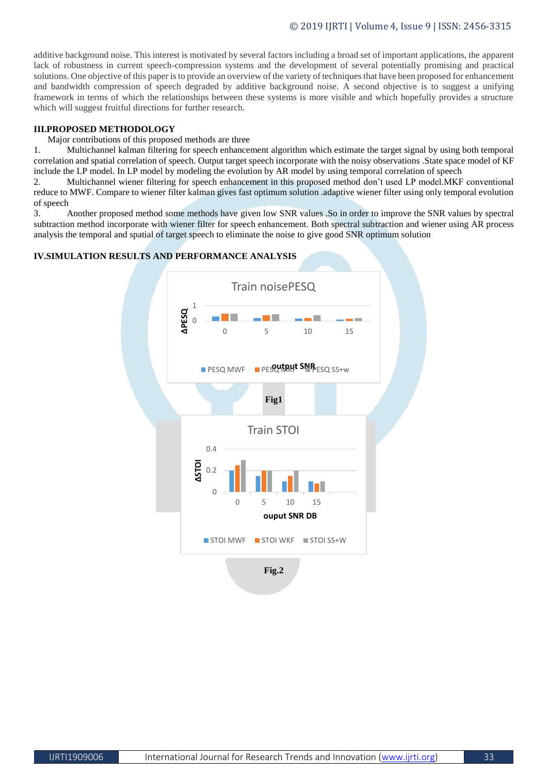additive background noise. This interest is motivated by several factors including a broad set of important applications, the apparent lack of robustness in current speech-compression systems and the development of several potentially promising and practical solutions. One objective of this paper is to provide an overview of the variety of techniques that have been proposed for enhancement and bandwidth compression of speech degraded by additive background noise. A second objective is to suggest a unifying framework in terms of which the relationships between these systems is more visible and which hopefully provides a structure which will suggest fruitful directions for further research.

## **III.PROPOSED METHODOLOGY**

Major contributions of this proposed methods are three

1. Multichannel kalman filtering for speech enhancement algorithm which estimate the target signal by using both temporal correlation and spatial correlation of speech. Output target speech incorporate with the noisy observations .State space model of KF include the LP model. In LP model by modeling the evolution by AR model by using temporal correlation of speech

2. Multichannel wiener filtering for speech enhancement in this proposed method don't used LP model.MKF conventional reduce to MWF. Compare to wiener filter kalman gives fast optimum solution .adaptive wiener filter using only temporal evolution of speech

3. Another proposed method some methods have given low SNR values .So in order to improve the SNR values by spectral subtraction method incorporate with wiener filter for speech enhancement. Both spectral subtraction and wiener using AR process analysis the temporal and spatial of target speech to eliminate the noise to give good SNR optimum solution

# **Fig1 Fig.2** 0 1 **∆PESQ** 0 5 10 15 PESQ MWF **PESCY TAKE SNR**ESQ SS+w Train noisePESQ 0  $0.2$ 0.4 0 5 10 15 **∆STOI ouput SNR DB** Train STOI  $\blacksquare$  STOI MWF  $\blacksquare$  STOI WKF  $\blacksquare$  STOI SS+W

## **IV.SIMULATION RESULTS AND PERFORMANCE ANALYSIS**